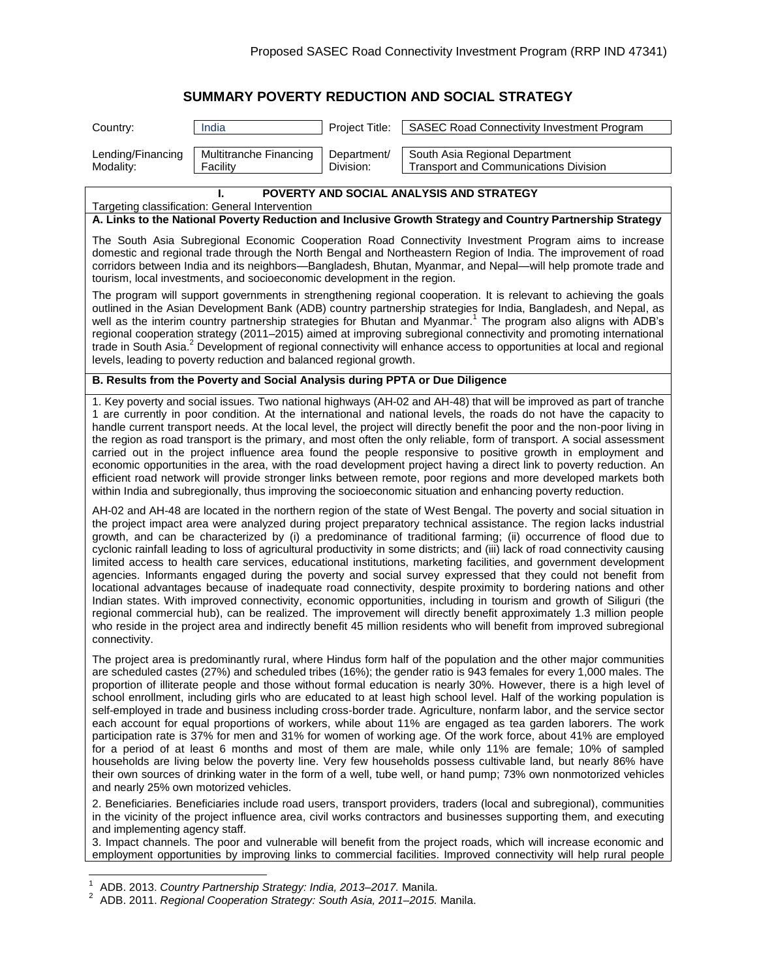# **SUMMARY POVERTY REDUCTION AND SOCIAL STRATEGY**

| India<br>Project Title:<br>SASEC Road Connectivity Investment Program<br>Country:                                                                                                                                                                                                                                                                                                                                                                                                                                                                                                                                                                                                                                                                                                                                                                                                                                                                                                                                                                                                                                                                                                                                                           |  |  |  |
|---------------------------------------------------------------------------------------------------------------------------------------------------------------------------------------------------------------------------------------------------------------------------------------------------------------------------------------------------------------------------------------------------------------------------------------------------------------------------------------------------------------------------------------------------------------------------------------------------------------------------------------------------------------------------------------------------------------------------------------------------------------------------------------------------------------------------------------------------------------------------------------------------------------------------------------------------------------------------------------------------------------------------------------------------------------------------------------------------------------------------------------------------------------------------------------------------------------------------------------------|--|--|--|
|                                                                                                                                                                                                                                                                                                                                                                                                                                                                                                                                                                                                                                                                                                                                                                                                                                                                                                                                                                                                                                                                                                                                                                                                                                             |  |  |  |
| South Asia Regional Department<br>Multitranche Financing<br>Department/<br>Lending/Financing<br>Division:<br><b>Transport and Communications Division</b><br>Modality:<br>Facility                                                                                                                                                                                                                                                                                                                                                                                                                                                                                                                                                                                                                                                                                                                                                                                                                                                                                                                                                                                                                                                          |  |  |  |
| POVERTY AND SOCIAL ANALYSIS AND STRATEGY                                                                                                                                                                                                                                                                                                                                                                                                                                                                                                                                                                                                                                                                                                                                                                                                                                                                                                                                                                                                                                                                                                                                                                                                    |  |  |  |
| Targeting classification: General Intervention<br>A. Links to the National Poverty Reduction and Inclusive Growth Strategy and Country Partnership Strategy                                                                                                                                                                                                                                                                                                                                                                                                                                                                                                                                                                                                                                                                                                                                                                                                                                                                                                                                                                                                                                                                                 |  |  |  |
|                                                                                                                                                                                                                                                                                                                                                                                                                                                                                                                                                                                                                                                                                                                                                                                                                                                                                                                                                                                                                                                                                                                                                                                                                                             |  |  |  |
| The South Asia Subregional Economic Cooperation Road Connectivity Investment Program aims to increase<br>domestic and regional trade through the North Bengal and Northeastern Region of India. The improvement of road<br>corridors between India and its neighbors—Bangladesh, Bhutan, Myanmar, and Nepal—will help promote trade and<br>tourism, local investments, and socioeconomic development in the region.                                                                                                                                                                                                                                                                                                                                                                                                                                                                                                                                                                                                                                                                                                                                                                                                                         |  |  |  |
| The program will support governments in strengthening regional cooperation. It is relevant to achieving the goals<br>outlined in the Asian Development Bank (ADB) country partnership strategies for India, Bangladesh, and Nepal, as<br>well as the interim country partnership strategies for Bhutan and Myanmar. <sup>1</sup> The program also aligns with ADB's<br>regional cooperation strategy (2011–2015) aimed at improving subregional connectivity and promoting international<br>trade in South Asia. <sup>2</sup> Development of regional connectivity will enhance access to opportunities at local and regional<br>levels, leading to poverty reduction and balanced regional growth.                                                                                                                                                                                                                                                                                                                                                                                                                                                                                                                                         |  |  |  |
| B. Results from the Poverty and Social Analysis during PPTA or Due Diligence                                                                                                                                                                                                                                                                                                                                                                                                                                                                                                                                                                                                                                                                                                                                                                                                                                                                                                                                                                                                                                                                                                                                                                |  |  |  |
| 1. Key poverty and social issues. Two national highways (AH-02 and AH-48) that will be improved as part of tranche<br>1 are currently in poor condition. At the international and national levels, the roads do not have the capacity to<br>handle current transport needs. At the local level, the project will directly benefit the poor and the non-poor living in<br>the region as road transport is the primary, and most often the only reliable, form of transport. A social assessment<br>carried out in the project influence area found the people responsive to positive growth in employment and<br>economic opportunities in the area, with the road development project having a direct link to poverty reduction. An<br>efficient road network will provide stronger links between remote, poor regions and more developed markets both<br>within India and subregionally, thus improving the socioeconomic situation and enhancing poverty reduction.                                                                                                                                                                                                                                                                       |  |  |  |
| AH-02 and AH-48 are located in the northern region of the state of West Bengal. The poverty and social situation in<br>the project impact area were analyzed during project preparatory technical assistance. The region lacks industrial<br>growth, and can be characterized by (i) a predominance of traditional farming; (ii) occurrence of flood due to<br>cyclonic rainfall leading to loss of agricultural productivity in some districts; and (iii) lack of road connectivity causing<br>limited access to health care services, educational institutions, marketing facilities, and government development<br>agencies. Informants engaged during the poverty and social survey expressed that they could not benefit from<br>locational advantages because of inadequate road connectivity, despite proximity to bordering nations and other<br>Indian states. With improved connectivity, economic opportunities, including in tourism and growth of Siliguri (the<br>regional commercial hub), can be realized. The improvement will directly benefit approximately 1.3 million people<br>who reside in the project area and indirectly benefit 45 million residents who will benefit from improved subregional<br>connectivity. |  |  |  |
| The project area is predominantly rural, where Hindus form half of the population and the other major communities<br>are scheduled castes (27%) and scheduled tribes (16%); the gender ratio is 943 females for every 1,000 males. The<br>proportion of illiterate people and those without formal education is nearly 30%. However, there is a high level of<br>school enrollment, including girls who are educated to at least high school level. Half of the working population is<br>self-employed in trade and business including cross-border trade. Agriculture, nonfarm labor, and the service sector<br>each account for equal proportions of workers, while about 11% are engaged as tea garden laborers. The work<br>participation rate is 37% for men and 31% for women of working age. Of the work force, about 41% are employed<br>for a period of at least 6 months and most of them are male, while only 11% are female; 10% of sampled<br>households are living below the poverty line. Very few households possess cultivable land, but nearly 86% have<br>their own sources of drinking water in the form of a well, tube well, or hand pump; 73% own nonmotorized vehicles<br>and nearly 25% own motorized vehicles.    |  |  |  |
| 2. Beneficiaries. Beneficiaries include road users, transport providers, traders (local and subregional), communities<br>in the vicinity of the project influence area, civil works contractors and businesses supporting them, and executing<br>and implementing agency staff.<br>3. Impact channels. The poor and vulnerable will benefit from the project roads, which will increase economic and<br>employment opportunities by improving links to commercial facilities. Improved connectivity will help rural people                                                                                                                                                                                                                                                                                                                                                                                                                                                                                                                                                                                                                                                                                                                  |  |  |  |

 1 ADB. 2013. *Country Partnership Strategy: India, 2013–2017.* Manila. 2 ADB. 2011. *Regional Cooperation Strategy: South Asia, 2011–2015.* Manila.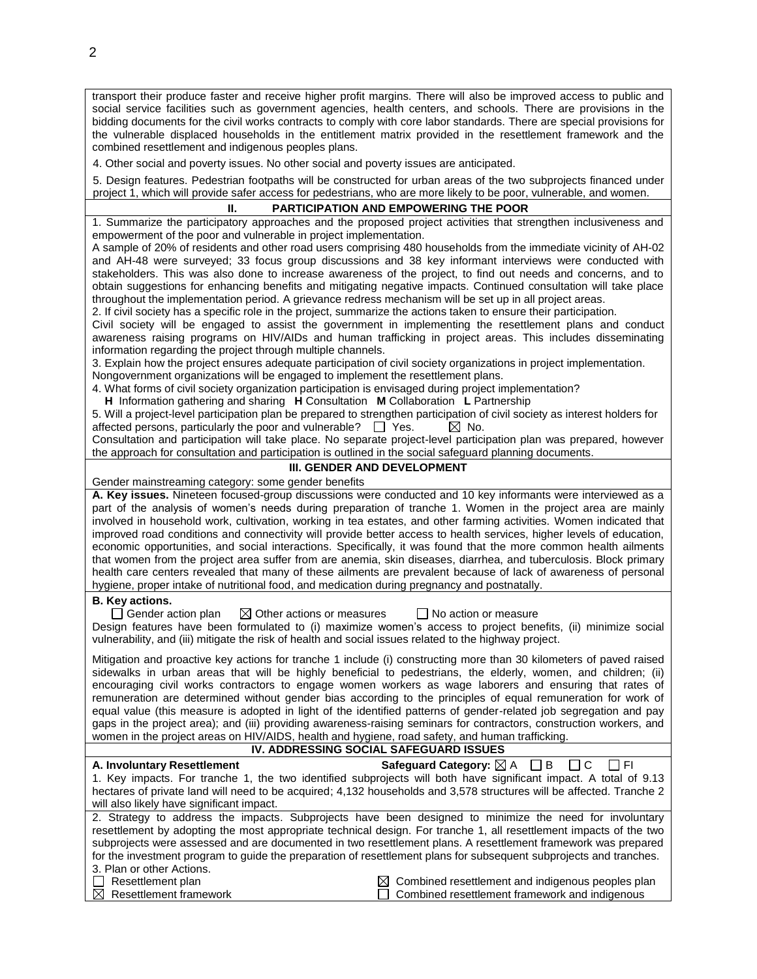transport their produce faster and receive higher profit margins. There will also be improved access to public and social service facilities such as government agencies, health centers, and schools. There are provisions in the bidding documents for the civil works contracts to comply with core labor standards. There are special provisions for the vulnerable displaced households in the entitlement matrix provided in the resettlement framework and the combined resettlement and indigenous peoples plans.

4. Other social and poverty issues. No other social and poverty issues are anticipated.

5. Design features. Pedestrian footpaths will be constructed for urban areas of the two subprojects financed under project 1, which will provide safer access for pedestrians, who are more likely to be poor, vulnerable, and women.

# **II. PARTICIPATION AND EMPOWERING THE POOR**

1. Summarize the participatory approaches and the proposed project activities that strengthen inclusiveness and empowerment of the poor and vulnerable in project implementation.

A sample of 20% of residents and other road users comprising 480 households from the immediate vicinity of AH-02 and AH-48 were surveyed; 33 focus group discussions and 38 key informant interviews were conducted with stakeholders. This was also done to increase awareness of the project, to find out needs and concerns, and to obtain suggestions for enhancing benefits and mitigating negative impacts. Continued consultation will take place throughout the implementation period. A grievance redress mechanism will be set up in all project areas.

2. If civil society has a specific role in the project, summarize the actions taken to ensure their participation.

Civil society will be engaged to assist the government in implementing the resettlement plans and conduct awareness raising programs on HIV/AIDs and human trafficking in project areas. This includes disseminating information regarding the project through multiple channels.

3. Explain how the project ensures adequate participation of civil society organizations in project implementation. Nongovernment organizations will be engaged to implement the resettlement plans.

4. What forms of civil society organization participation is envisaged during project implementation?

**H** Information gathering and sharing **H** Consultation **M** Collaboration **L** Partnership

5. Will a project-level participation plan be prepared to strengthen participation of civil society as interest holders for affected persons, particularly the poor and vulnerable?  $\Box$  Yes.  $\boxtimes$  No.

Consultation and participation will take place. No separate project-level participation plan was prepared, however the approach for consultation and participation is outlined in the social safeguard planning documents.

#### **III. GENDER AND DEVELOPMENT**

Gender mainstreaming category: some gender benefits

**A. Key issues.** Nineteen focused-group discussions were conducted and 10 key informants were interviewed as a part of the analysis of women's needs during preparation of tranche 1. Women in the project area are mainly involved in household work, cultivation, working in tea estates, and other farming activities. Women indicated that improved road conditions and connectivity will provide better access to health services, higher levels of education, economic opportunities, and social interactions. Specifically, it was found that the more common health ailments that women from the project area suffer from are anemia, skin diseases, diarrhea, and tuberculosis. Block primary health care centers revealed that many of these ailments are prevalent because of lack of awareness of personal hygiene, proper intake of nutritional food, and medication during pregnancy and postnatally.

## **B. Key actions.**

 $\Box$  Gender action plan  $\boxtimes$  Other actions or measures  $\Box$  No action or measure Design features have been formulated to (i) maximize women's access to project benefits, (ii) minimize social vulnerability, and (iii) mitigate the risk of health and social issues related to the highway project.

Mitigation and proactive key actions for tranche 1 include (i) constructing more than 30 kilometers of paved raised sidewalks in urban areas that will be highly beneficial to pedestrians, the elderly, women, and children; (ii) encouraging civil works contractors to engage women workers as wage laborers and ensuring that rates of remuneration are determined without gender bias according to the principles of equal remuneration for work of equal value (this measure is adopted in light of the identified patterns of gender-related job segregation and pay gaps in the project area); and (iii) providing awareness-raising seminars for contractors, construction workers, and women in the project areas on HIV/AIDS, health and hygiene, road safety, and human trafficking.

## **IV. ADDRESSING SOCIAL SAFEGUARD ISSUES**

| A. Involuntary Resettlement               | Safeguard Category: $\boxtimes$ A $\Box$ B $\Box$ C $\Box$ FI                                                        |
|-------------------------------------------|----------------------------------------------------------------------------------------------------------------------|
|                                           | 1. Key impacts. For tranche 1, the two identified subprojects will both have significant impact. A total of 9.13     |
|                                           | hectares of private land will need to be acquired; 4,132 households and 3,578 structures will be affected. Tranche 2 |
| will also likely have significant impact. |                                                                                                                      |
|                                           |                                                                                                                      |

2. Strategy to address the impacts. Subprojects have been designed to minimize the need for involuntary resettlement by adopting the most appropriate technical design. For tranche 1, all resettlement impacts of the two subprojects were assessed and are documented in two resettlement plans. A resettlement framework was prepared for the investment program to guide the preparation of resettlement plans for subsequent subprojects and tranches. 3. Plan or other Actions.

 $\Box$  Resettlement plan  $\boxtimes$  Resettlement framework  $\boxtimes$  Combined resettlement and indigenous peoples plan Combined resettlement framework and indigenous